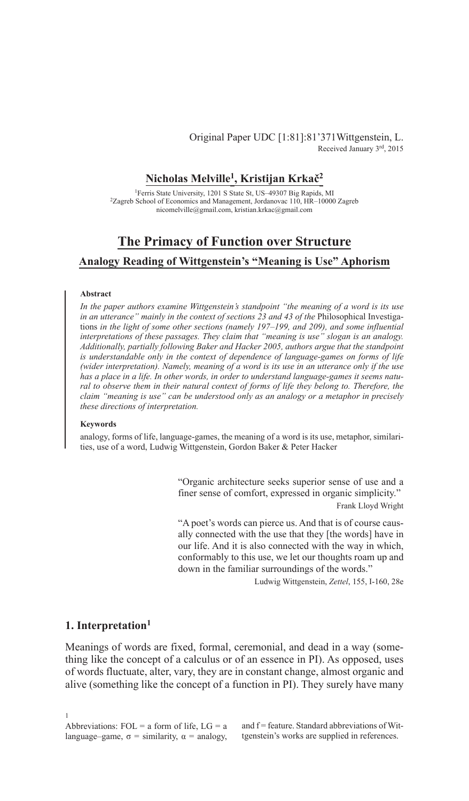## Original Paper UDC [1:81]:81'371Wittgenstein, L. Received January 3rd, 2015

# **Nicholas Melville1, Kristijan Krkač<sup>2</sup>**

1Ferris State University, 1201 S State St, US–49307 Big Rapids, MI <sup>2</sup>Zagreb School of Economics and Management, Jordanovac 110, HR–10000 Zagreb nicomelville@gmail.com, kristian.krkac@gmail.com

# **The Primacy of Function over Structure**

## **Analogy Reading of Wittgenstein's "Meaning is Use" Aphorism**

### **Abstract**

*In the paper authors examine Wittgenstein's standpoint "the meaning of a word is its use*  in an utterance" mainly in the context of sections 23 and 43 of the Philosophical Investigations *in the light of some other sections (namely 197–199, and 209), and some influential interpretations of these passages. They claim that "meaning is use" slogan is an analogy. Additionally, partially following Baker and Hacker 2005, authors argue that the standpoint is understandable only in the context of dependence of language-games on forms of life (wider interpretation). Namely, meaning of a word is its use in an utterance only if the use has a place in a life. In other words, in order to understand language-games it seems natural to observe them in their natural context of forms of life they belong to. Therefore, the claim "meaning is use" can be understood only as an analogy or a metaphor in precisely these directions of interpretation.*

#### **Keywords**

analogy, forms of life, language-games, the meaning of a word is its use, metaphor, similarities, use of a word, Ludwig Wittgenstein, Gordon Baker & Peter Hacker

> "Organic architecture seeks superior sense of use and a finer sense of comfort, expressed in organic simplicity."

> > Frank Lloyd Wright

"A poet's words can pierce us. And that is of course causally connected with the use that they [the words] have in our life. And it is also connected with the way in which, conformably to this use, we let our thoughts roam up and down in the familiar surroundings of the words."

Ludwig Wittgenstein, *Zettel*, 155, I-160, 28e

## **1. Interpretation1**

Meanings of words are fixed, formal, ceremonial, and dead in a way (something like the concept of a calculus or of an essence in PI). As opposed, uses of words fluctuate, alter, vary, they are in constant change, almost organic and alive (something like the concept of a function in PI). They surely have many

and f = feature. Standard abbreviations of Wittgenstein's works are supplied in references.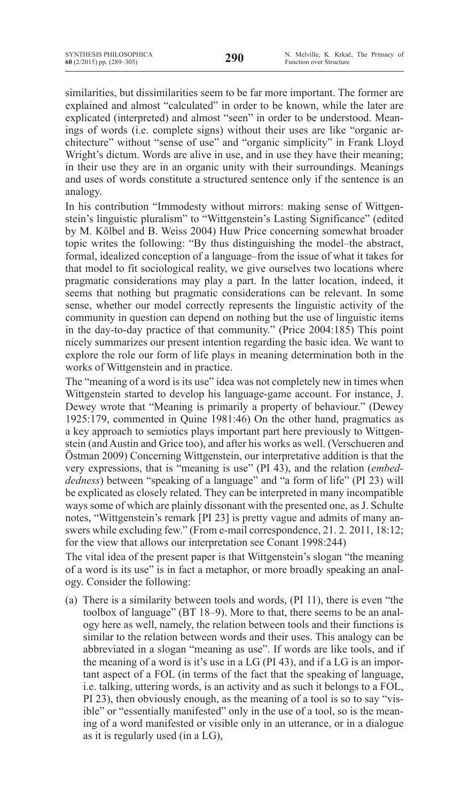similarities, but dissimilarities seem to be far more important. The former are explained and almost "calculated" in order to be known, while the later are explicated (interpreted) and almost "seen" in order to be understood. Meanings of words (i.e. complete signs) without their uses are like "organic architecture" without "sense of use" and "organic simplicity" in Frank Lloyd Wright's dictum. Words are alive in use, and in use they have their meaning; in their use they are in an organic unity with their surroundings. Meanings and uses of words constitute a structured sentence only if the sentence is an analogy.

In his contribution "Immodesty without mirrors: making sense of Wittgenstein's linguistic pluralism" to "Wittgenstein's Lasting Significance" (edited by M. Kölbel and B. Weiss 2004) Huw Price concerning somewhat broader topic writes the following: "By thus distinguishing the model–the abstract, formal, idealized conception of a language–from the issue of what it takes for that model to fit sociological reality, we give ourselves two locations where pragmatic considerations may play a part. In the latter location, indeed, it seems that nothing but pragmatic considerations can be relevant. In some sense, whether our model correctly represents the linguistic activity of the community in question can depend on nothing but the use of linguistic items in the day-to-day practice of that community." (Price 2004:185) This point nicely summarizes our present intention regarding the basic idea. We want to explore the role our form of life plays in meaning determination both in the works of Wittgenstein and in practice.

The "meaning of a word is its use" idea was not completely new in times when Wittgenstein started to develop his language-game account. For instance, J. Dewey wrote that "Meaning is primarily a property of behaviour." (Dewey 1925:179, commented in Quine 1981:46) On the other hand, pragmatics as a key approach to semiotics plays important part here previously to Wittgenstein (and Austin and Grice too), and after his works as well. (Verschueren and Östman 2009) Concerning Wittgenstein, our interpretative addition is that the very expressions, that is "meaning is use" (PI 43), and the relation (*embeddedness*) between "speaking of a language" and "a form of life" (PI 23) will be explicated as closely related. They can be interpreted in many incompatible ways some of which are plainly dissonant with the presented one, as J. Schulte notes, "Wittgenstein's remark [PI 23] is pretty vague and admits of many answers while excluding few." (From e-mail correspondence, 21. 2. 2011, 18:12; for the view that allows our interpretation see Conant 1998:244)

The vital idea of the present paper is that Wittgenstein's slogan "the meaning of a word is its use" is in fact a metaphor, or more broadly speaking an analogy. Consider the following:

(a) There is a similarity between tools and words, (PI 11), there is even "the toolbox of language" (BT 18–9). More to that, there seems to be an analogy here as well, namely, the relation between tools and their functions is similar to the relation between words and their uses. This analogy can be abbreviated in a slogan "meaning as use". If words are like tools, and if the meaning of a word is it's use in a LG (PI 43), and if a LG is an important aspect of a FOL (in terms of the fact that the speaking of language, i.e. talking, uttering words, is an activity and as such it belongs to a FOL, PI 23), then obviously enough, as the meaning of a tool is so to say "visible" or "essentially manifested" only in the use of a tool, so is the meaning of a word manifested or visible only in an utterance, or in a dialogue as it is regularly used (in a LG),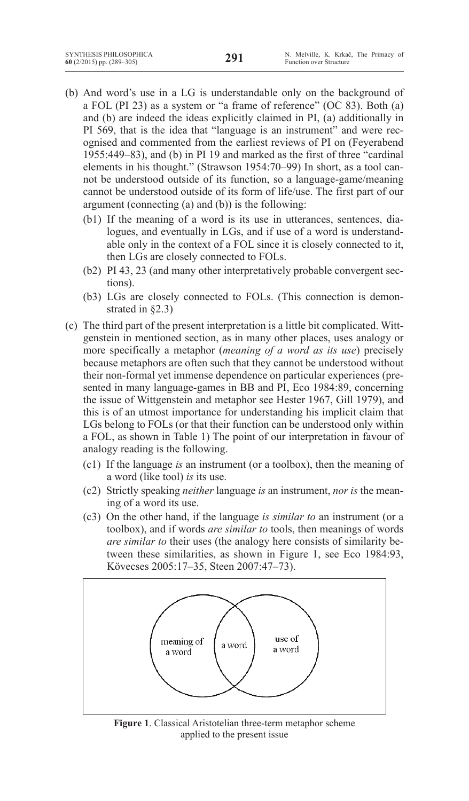- (b) And word's use in a LG is understandable only on the background of a FOL (PI 23) as a system or "a frame of reference" (OC 83). Both (a) and (b) are indeed the ideas explicitly claimed in PI, (a) additionally in PI 569, that is the idea that "language is an instrument" and were recognised and commented from the earliest reviews of PI on (Feyerabend 1955:449–83), and (b) in PI 19 and marked as the first of three "cardinal elements in his thought." (Strawson 1954:70–99) In short, as a tool cannot be understood outside of its function, so a language-game/meaning cannot be understood outside of its form of life/use. The first part of our argument (connecting (a) and (b)) is the following:
	- (b1) If the meaning of a word is its use in utterances, sentences, dialogues, and eventually in LGs, and if use of a word is understandable only in the context of a FOL since it is closely connected to it, then LGs are closely connected to FOLs.
	- (b2) PI 43, 23 (and many other interpretatively probable convergent sections).
	- (b3) LGs are closely connected to FOLs. (This connection is demonstrated in §2.3)
- (c) The third part of the present interpretation is a little bit complicated. Wittgenstein in mentioned section, as in many other places, uses analogy or more specifically a metaphor (*meaning of a word as its use*) precisely because metaphors are often such that they cannot be understood without their non-formal yet immense dependence on particular experiences (presented in many language-games in BB and PI, Eco 1984:89, concerning the issue of Wittgenstein and metaphor see Hester 1967, Gill 1979), and this is of an utmost importance for understanding his implicit claim that LGs belong to FOLs (or that their function can be understood only within a FOL, as shown in Table 1) The point of our interpretation in favour of analogy reading is the following.
	- (c1) If the language *is* an instrument (or a toolbox), then the meaning of a word (like tool) *is* its use.
	- (c2) Strictly speaking *neither* language *is* an instrument, *nor is* the meaning of a word its use.
	- (c3) On the other hand, if the language *is similar to* an instrument (or a toolbox), and if words *are similar to* tools, then meanings of words *are similar to* their uses (the analogy here consists of similarity between these similarities, as shown in Figure 1, see Eco 1984:93, Kövecses 2005:17–35, Steen 2007:47–73).



**Figure 1**. Classical Aristotelian three-term metaphor scheme applied to the present issue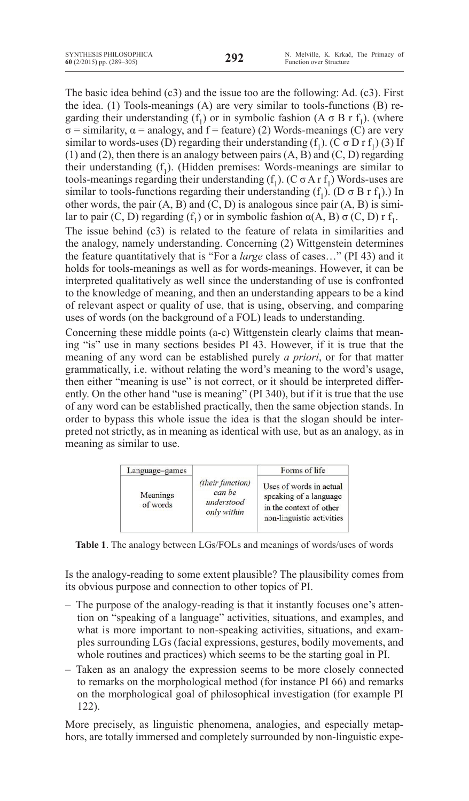The basic idea behind (c3) and the issue too are the following: Ad. (c3). First the idea. (1) Tools-meanings (A) are very similar to tools-functions (B) regarding their understanding (f<sub>1</sub>) or in symbolic fashion (A  $\sigma$  B r f<sub>1</sub>). (where  $\sigma$  = similarity,  $\alpha$  = analogy, and f = feature) (2) Words-meanings (C) are very similar to words-uses (D) regarding their understanding  $(f_1)$ . (C  $\sigma$  D r  $f_1$ ) (3) If (1) and (2), then there is an analogy between pairs (A, B) and (C, D) regarding their understanding  $(f_1)$ . (Hidden premises: Words-meanings are similar to tools-meanings regarding their understanding  $(f_1)$ . (C  $\sigma$  A r  $f_1$ ) Words-uses are similar to tools-functions regarding their understanding  $(f_1)$ . (D  $\sigma$  B r  $f_1$ ).) In other words, the pair  $(A, B)$  and  $(C, D)$  is analogous since pair  $(A, B)$  is similar to pair (C, D) regarding (f<sub>1</sub>) or in symbolic fashion  $\alpha(A, B) \sigma(C, D)$  r f<sub>1</sub>. The issue behind (c3) is related to the feature of relata in similarities and the analogy, namely understanding. Concerning (2) Wittgenstein determines the feature quantitatively that is "For a *large* class of cases…" (PI 43) and it holds for tools-meanings as well as for words-meanings. However, it can be interpreted qualitatively as well since the understanding of use is confronted to the knowledge of meaning, and then an understanding appears to be a kind of relevant aspect or quality of use, that is using, observing, and comparing uses of words (on the background of a FOL) leads to understanding. Concerning these middle points (a-c) Wittgenstein clearly claims that meaning "is" use in many sections besides PI 43. However, if it is true that the meaning of any word can be established purely *a priori*, or for that matter grammatically, i.e. without relating the word's meaning to the word's usage,

then either "meaning is use" is not correct, or it should be interpreted differently. On the other hand "use is meaning" (PI 340), but if it is true that the use of any word can be established practically, then the same objection stands. In order to bypass this whole issue the idea is that the slogan should be interpreted not strictly, as in meaning as identical with use, but as an analogy, as in meaning as similar to use.

| Language-games       |                                                         | Forms of life                                                                                             |
|----------------------|---------------------------------------------------------|-----------------------------------------------------------------------------------------------------------|
| Meanings<br>of words | (their function)<br>can be<br>understood<br>only within | Uses of words in actual<br>speaking of a language<br>in the context of other<br>non-linguistic activities |

**Table 1**. The analogy between LGs/FOLs and meanings of words/uses of words **Table 1**. The analogy between LGs/FOLs and meanings of words/uses of words

Is the analogy-reading to some extent plausible? The plausibility comes from its obvious purpose and connection to other topics of PI.

- The purpose of the analogy-reading is that it instantly focuses one's attention on "speaking of a language" activities, situations, and examples, and what is more important to non-speaking activities, situations, and examples surrounding LGs (facial expressions, gestures, bodily movements, and whole routines and practices) which seems to be the starting goal in PI.
- Taken as an analogy the expression seems to be more closely connected to remarks on the morphological method (for instance PI 66) and remarks on the morphological goal of philosophical investigation (for example PI 122).

More precisely, as linguistic phenomena, analogies, and especially metaphors, are totally immersed and completely surrounded by non-linguistic expe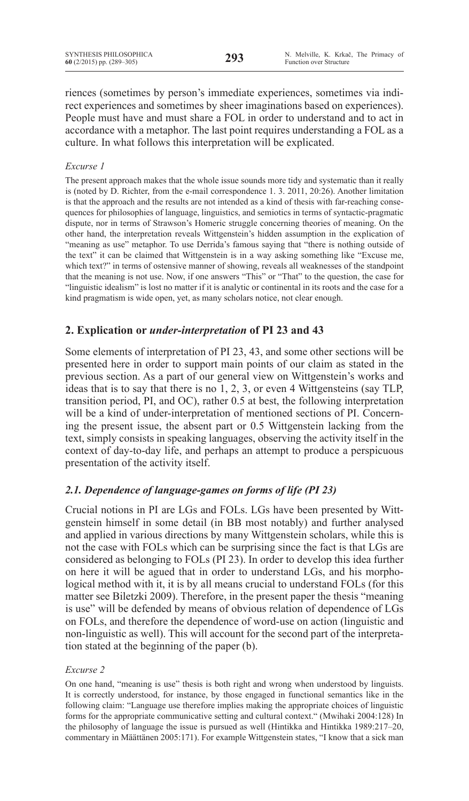riences (sometimes by person's immediate experiences, sometimes via indirect experiences and sometimes by sheer imaginations based on experiences). People must have and must share a FOL in order to understand and to act in accordance with a metaphor. The last point requires understanding a FOL as a culture. In what follows this interpretation will be explicated.

## *Excurse 1*

The present approach makes that the whole issue sounds more tidy and systematic than it really is (noted by D. Richter, from the e-mail correspondence 1. 3. 2011, 20:26). Another limitation is that the approach and the results are not intended as a kind of thesis with far-reaching consequences for philosophies of language, linguistics, and semiotics in terms of syntactic-pragmatic dispute, nor in terms of Strawson's Homeric struggle concerning theories of meaning. On the other hand, the interpretation reveals Wittgenstein's hidden assumption in the explication of "meaning as use" metaphor. To use Derrida's famous saying that "there is nothing outside of the text" it can be claimed that Wittgenstein is in a way asking something like "Excuse me, which text?" in terms of ostensive manner of showing, reveals all weaknesses of the standpoint that the meaning is not use. Now, if one answers "This" or "That" to the question, the case for "linguistic idealism" is lost no matter if it is analytic or continental in its roots and the case for a kind pragmatism is wide open, yet, as many scholars notice, not clear enough.

# **2. Explication or** *under-interpretation* **of PI 23 and 43**

Some elements of interpretation of PI 23, 43, and some other sections will be presented here in order to support main points of our claim as stated in the previous section. As a part of our general view on Wittgenstein's works and ideas that is to say that there is no 1, 2, 3, or even 4 Wittgensteins (say TLP, transition period, PI, and OC), rather 0.5 at best, the following interpretation will be a kind of under-interpretation of mentioned sections of PI. Concerning the present issue, the absent part or 0.5 Wittgenstein lacking from the text, simply consists in speaking languages, observing the activity itself in the context of day-to-day life, and perhaps an attempt to produce a perspicuous presentation of the activity itself.

# *2.1. Dependence of language-games on forms of life (PI 23)*

Crucial notions in PI are LGs and FOLs. LGs have been presented by Wittgenstein himself in some detail (in BB most notably) and further analysed and applied in various directions by many Wittgenstein scholars, while this is not the case with FOLs which can be surprising since the fact is that LGs are considered as belonging to FOLs (PI 23). In order to develop this idea further on here it will be agued that in order to understand LGs, and his morphological method with it, it is by all means crucial to understand FOLs (for this matter see Biletzki 2009). Therefore, in the present paper the thesis "meaning is use" will be defended by means of obvious relation of dependence of LGs on FOLs, and therefore the dependence of word-use on action (linguistic and non-linguistic as well). This will account for the second part of the interpretation stated at the beginning of the paper (b).

### *Excurse 2*

On one hand, "meaning is use" thesis is both right and wrong when understood by linguists. It is correctly understood, for instance, by those engaged in functional semantics like in the following claim: "Language use therefore implies making the appropriate choices of linguistic forms for the appropriate communicative setting and cultural context." (Mwihaki 2004:128) In the philosophy of language the issue is pursued as well (Hintikka and Hintikka 1989:217–20, commentary in Määttänen 2005:171). For example Wittgenstein states, "I know that a sick man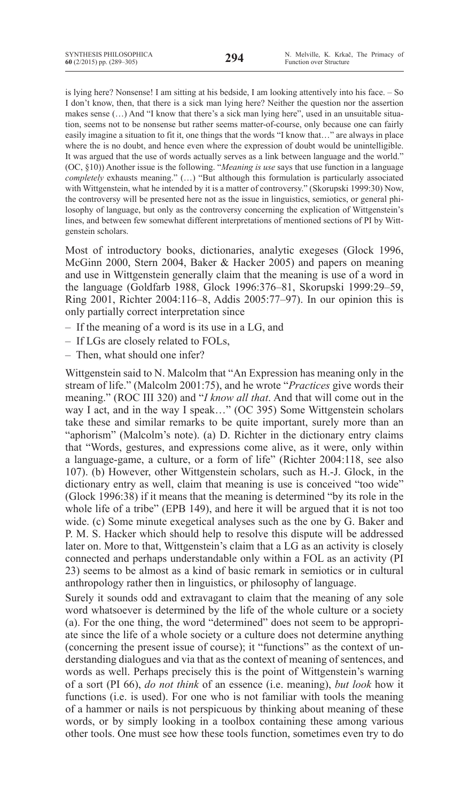is lying here? Nonsense! I am sitting at his bedside, I am looking attentively into his face. – So I don't know, then, that there is a sick man lying here? Neither the question nor the assertion makes sense (…) And "I know that there's a sick man lying here", used in an unsuitable situation, seems not to be nonsense but rather seems matter-of-course, only because one can fairly easily imagine a situation to fit it, one things that the words "I know that…" are always in place where the is no doubt, and hence even where the expression of doubt would be unintelligible. It was argued that the use of words actually serves as a link between language and the world." (OC, §10)) Another issue is the following. "*Meaning is use* says that use function in a language *completely* exhausts meaning." (…) "But although this formulation is particularly associated with Wittgenstein, what he intended by it is a matter of controversy." (Skorupski 1999:30) Now, the controversy will be presented here not as the issue in linguistics, semiotics, or general philosophy of language, but only as the controversy concerning the explication of Wittgenstein's lines, and between few somewhat different interpretations of mentioned sections of PI by Wittgenstein scholars.

Most of introductory books, dictionaries, analytic exegeses (Glock 1996, McGinn 2000, Stern 2004, Baker & Hacker 2005) and papers on meaning and use in Wittgenstein generally claim that the meaning is use of a word in the language (Goldfarb 1988, Glock 1996:376–81, Skorupski 1999:29–59, Ring 2001, Richter 2004:116–8, Addis 2005:77–97). In our opinion this is only partially correct interpretation since

- If the meaning of a word is its use in a LG, and
- If LGs are closely related to FOLs,
- Then, what should one infer?

Wittgenstein said to N. Malcolm that "An Expression has meaning only in the stream of life." (Malcolm 2001:75), and he wrote "*Practices* give words their meaning." (ROC III 320) and "*I know all that*. And that will come out in the way I act, and in the way I speak..." (OC 395) Some Wittgenstein scholars take these and similar remarks to be quite important, surely more than an "aphorism" (Malcolm's note). (a) D. Richter in the dictionary entry claims that "Words, gestures, and expressions come alive, as it were, only within a language-game, a culture, or a form of life" (Richter 2004:118, see also 107). (b) However, other Wittgenstein scholars, such as H.-J. Glock, in the dictionary entry as well, claim that meaning is use is conceived "too wide" (Glock 1996:38) if it means that the meaning is determined "by its role in the whole life of a tribe" (EPB 149), and here it will be argued that it is not too wide. (c) Some minute exegetical analyses such as the one by G. Baker and P. M. S. Hacker which should help to resolve this dispute will be addressed later on. More to that, Wittgenstein's claim that a LG as an activity is closely connected and perhaps understandable only within a FOL as an activity (PI 23) seems to be almost as a kind of basic remark in semiotics or in cultural anthropology rather then in linguistics, or philosophy of language.

Surely it sounds odd and extravagant to claim that the meaning of any sole word whatsoever is determined by the life of the whole culture or a society (a). For the one thing, the word "determined" does not seem to be appropriate since the life of a whole society or a culture does not determine anything (concerning the present issue of course); it "functions" as the context of understanding dialogues and via that as the context of meaning of sentences, and words as well. Perhaps precisely this is the point of Wittgenstein's warning of a sort (PI 66), *do not think* of an essence (i.e. meaning), *but look* how it functions (i.e. is used). For one who is not familiar with tools the meaning of a hammer or nails is not perspicuous by thinking about meaning of these words, or by simply looking in a toolbox containing these among various other tools. One must see how these tools function, sometimes even try to do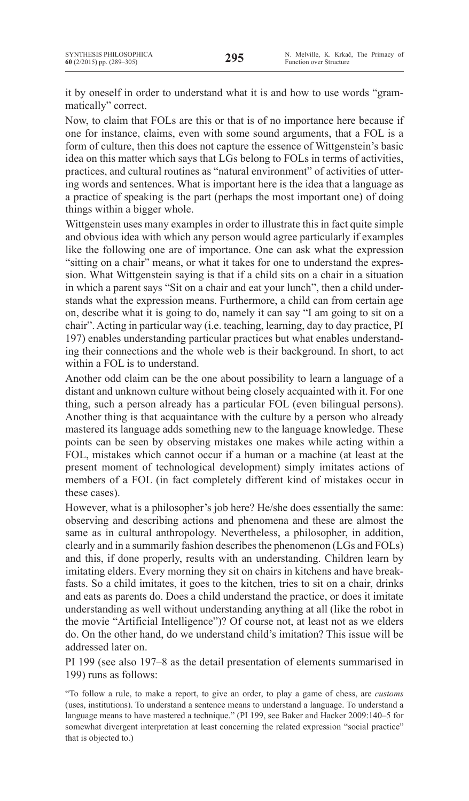it by oneself in order to understand what it is and how to use words "grammatically" correct.

Now, to claim that FOLs are this or that is of no importance here because if one for instance, claims, even with some sound arguments, that a FOL is a form of culture, then this does not capture the essence of Wittgenstein's basic idea on this matter which says that LGs belong to FOLs in terms of activities, practices, and cultural routines as "natural environment" of activities of uttering words and sentences. What is important here is the idea that a language as a practice of speaking is the part (perhaps the most important one) of doing things within a bigger whole.

Wittgenstein uses many examples in order to illustrate this in fact quite simple and obvious idea with which any person would agree particularly if examples like the following one are of importance. One can ask what the expression "sitting on a chair" means, or what it takes for one to understand the expression. What Wittgenstein saying is that if a child sits on a chair in a situation in which a parent says "Sit on a chair and eat your lunch", then a child understands what the expression means. Furthermore, a child can from certain age on, describe what it is going to do, namely it can say "I am going to sit on a chair". Acting in particular way (i.e. teaching, learning, day to day practice, PI 197) enables understanding particular practices but what enables understanding their connections and the whole web is their background. In short, to act within a FOL is to understand.

Another odd claim can be the one about possibility to learn a language of a distant and unknown culture without being closely acquainted with it. For one thing, such a person already has a particular FOL (even bilingual persons). Another thing is that acquaintance with the culture by a person who already mastered its language adds something new to the language knowledge. These points can be seen by observing mistakes one makes while acting within a FOL, mistakes which cannot occur if a human or a machine (at least at the present moment of technological development) simply imitates actions of members of a FOL (in fact completely different kind of mistakes occur in these cases).

However, what is a philosopher's job here? He/she does essentially the same: observing and describing actions and phenomena and these are almost the same as in cultural anthropology. Nevertheless, a philosopher, in addition, clearly and in a summarily fashion describesthe phenomenon (LGs and FOLs) and this, if done properly, results with an understanding. Children learn by imitating elders. Every morning they sit on chairs in kitchens and have breakfasts. So a child imitates, it goes to the kitchen, tries to sit on a chair, drinks and eats as parents do. Does a child understand the practice, or does it imitate understanding as well without understanding anything at all (like the robot in the movie "Artificial Intelligence")? Of course not, at least not as we elders do. On the other hand, do we understand child's imitation? This issue will be addressed later on.

PI 199 (see also 197–8 as the detail presentation of elements summarised in 199) runs as follows:

<sup>&</sup>quot;To follow a rule, to make a report, to give an order, to play a game of chess, are *customs* (uses, institutions). To understand a sentence means to understand a language. To understand a language means to have mastered a technique." (PI 199, see Baker and Hacker 2009:140–5 for somewhat divergent interpretation at least concerning the related expression "social practice" that is objected to.)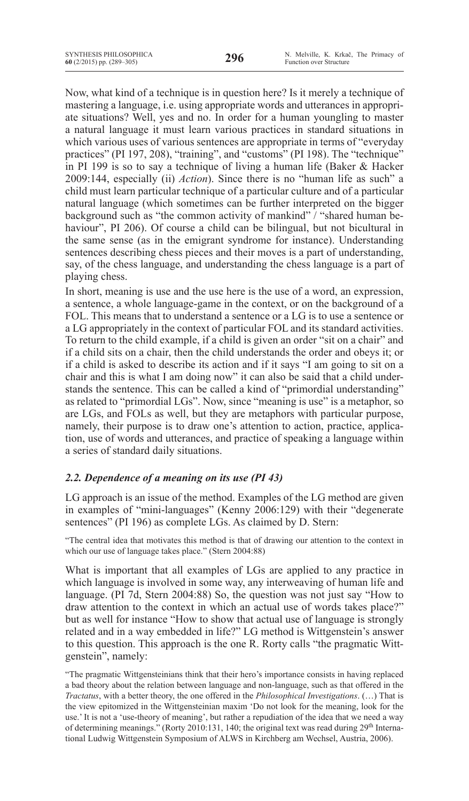Now, what kind of a technique is in question here? Is it merely a technique of mastering a language, i.e. using appropriate words and utterances in appropriate situations? Well, yes and no. In order for a human youngling to master a natural language it must learn various practices in standard situations in which various uses of various sentences are appropriate in terms of "everyday practices" (PI 197, 208), "training", and "customs" (PI 198). The "technique" in PI 199 is so to say a technique of living a human life (Baker & Hacker 2009:144, especially (ii) *Action*). Since there is no "human life as such" a child must learn particular technique of a particular culture and of a particular natural language (which sometimes can be further interpreted on the bigger background such as "the common activity of mankind" / "shared human behaviour", PI 206). Of course a child can be bilingual, but not bicultural in the same sense (as in the emigrant syndrome for instance). Understanding sentences describing chess pieces and their moves is a part of understanding, say, of the chess language, and understanding the chess language is a part of playing chess.

In short, meaning is use and the use here is the use of a word, an expression, a sentence, a whole language-game in the context, or on the background of a FOL. This means that to understand a sentence or a LG is to use a sentence or a LG appropriately in the context of particular FOL and its standard activities. To return to the child example, if a child is given an order "sit on a chair" and if a child sits on a chair, then the child understands the order and obeys it; or if a child is asked to describe its action and if it says "I am going to sit on a chair and this is what I am doing now" it can also be said that a child understands the sentence. This can be called a kind of "primordial understanding" as related to "primordial LGs". Now, since "meaning is use" is a metaphor, so are LGs, and FOLs as well, but they are metaphors with particular purpose, namely, their purpose is to draw one's attention to action, practice, application, use of words and utterances, and practice of speaking a language within a series of standard daily situations.

# *2.2. Dependence of a meaning on its use (PI 43)*

LG approach is an issue of the method. Examples of the LG method are given in examples of "mini-languages" (Kenny 2006:129) with their "degenerate sentences" (PI 196) as complete LGs. As claimed by D. Stern:

"The central idea that motivates this method is that of drawing our attention to the context in which our use of language takes place." (Stern 2004:88)

What is important that all examples of LGs are applied to any practice in which language is involved in some way, any interweaving of human life and language. (PI 7d, Stern 2004:88) So, the question was not just say "How to draw attention to the context in which an actual use of words takes place?" but as well for instance "How to show that actual use of language is strongly related and in a way embedded in life?" LG method is Wittgenstein's answer to this question. This approach is the one R. Rorty calls "the pragmatic Wittgenstein", namely:

<sup>&</sup>quot;The pragmatic Wittgensteinians think that their hero's importance consists in having replaced a bad theory about the relation between language and non-language, such as that offered in the *Tractatus*, with a better theory, the one offered in the *Philosophical Investigations*. (…) That is the view epitomized in the Wittgensteinian maxim 'Do not look for the meaning, look for the use.' It is not a 'use-theory of meaning', but rather a repudiation of the idea that we need a way of determining meanings." (Rorty 2010:131, 140; the original text was read during 29<sup>th</sup> International Ludwig Wittgenstein Symposium of ALWS in Kirchberg am Wechsel, Austria, 2006).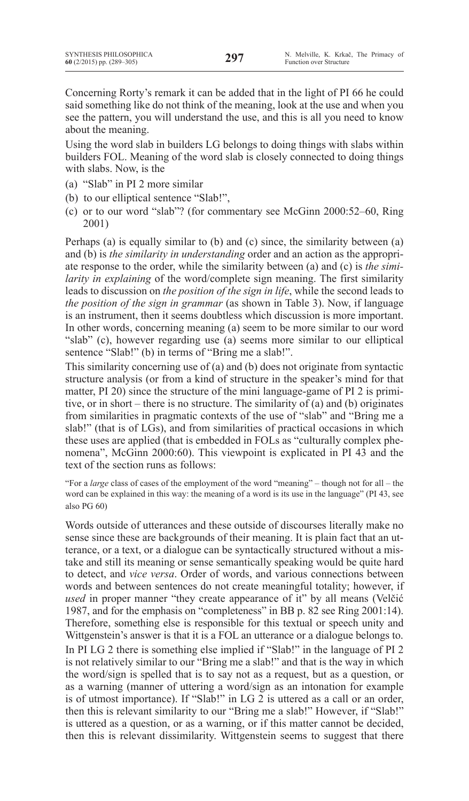Concerning Rorty's remark it can be added that in the light of PI 66 he could said something like do not think of the meaning, look at the use and when you see the pattern, you will understand the use, and this is all you need to know about the meaning.

Using the word slab in builders LG belongs to doing things with slabs within builders FOL. Meaning of the word slab is closely connected to doing things with slabs. Now, is the

- (a) "Slab" in PI 2 more similar
- (b) to our elliptical sentence "Slab!",
- (c) or to our word "slab"? (for commentary see McGinn 2000:52–60, Ring 2001)

Perhaps (a) is equally similar to (b) and (c) since, the similarity between (a) and (b) is *the similarity in understanding* order and an action as the appropriate response to the order, while the similarity between (a) and (c) is *the similarity in explaining* of the word/complete sign meaning. The first similarity leads to discussion on *the position of the sign in life*, while the second leads to *the position of the sign in grammar* (as shown in Table 3). Now, if language is an instrument, then it seems doubtless which discussion is more important. In other words, concerning meaning (a) seem to be more similar to our word "slab" (c), however regarding use (a) seems more similar to our elliptical sentence "Slab!" (b) in terms of "Bring me a slab!".

This similarity concerning use of (a) and (b) does not originate from syntactic structure analysis (or from a kind of structure in the speaker's mind for that matter, PI 20) since the structure of the mini language-game of PI 2 is primitive, or in short – there is no structure. The similarity of (a) and (b) originates from similarities in pragmatic contexts of the use of "slab" and "Bring me a slab!" (that is of LGs), and from similarities of practical occasions in which these uses are applied (that is embedded in FOLs as "culturally complex phenomena", McGinn 2000:60). This viewpoint is explicated in PI 43 and the text of the section runs as follows:

"For a *large* class of cases of the employment of the word "meaning" – though not for all – the word can be explained in this way: the meaning of a word is its use in the language" (PI 43, see also PG 60)

Words outside of utterances and these outside of discourses literally make no sense since these are backgrounds of their meaning. It is plain fact that an utterance, or a text, or a dialogue can be syntactically structured without a mistake and still its meaning or sense semantically speaking would be quite hard to detect, and *vice versa*. Order of words, and various connections between words and between sentences do not create meaningful totality; however, if *used* in proper manner "they create appearance of it" by all means (Velčić 1987, and for the emphasis on "completeness" in BB p. 82 see Ring 2001:14). Therefore, something else is responsible for this textual or speech unity and Wittgenstein's answer is that it is a FOL an utterance or a dialogue belongs to. In PI LG 2 there is something else implied if "Slab!" in the language of PI 2 is not relatively similar to our "Bring me a slab!" and that is the way in which the word/sign is spelled that is to say not as a request, but as a question, or as a warning (manner of uttering a word/sign as an intonation for example is of utmost importance). If "Slab!" in LG 2 is uttered as a call or an order, then this is relevant similarity to our "Bring me a slab!" However, if "Slab!" is uttered as a question, or as a warning, or if this matter cannot be decided, then this is relevant dissimilarity. Wittgenstein seems to suggest that there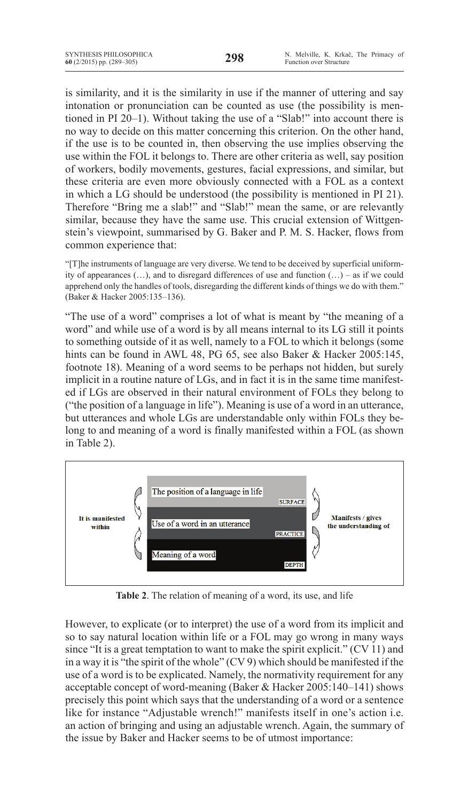is similarity, and it is the similarity in use if the manner of uttering and say intonation or pronunciation can be counted as use (the possibility is mentioned in PI 20–1). Without taking the use of a "Slab!" into account there is no way to decide on this matter concerning this criterion. On the other hand, if the use is to be counted in, then observing the use implies observing the use within the FOL it belongs to. There are other criteria as well, say position of workers, bodily movements, gestures, facial expressions, and similar, but these criteria are even more obviously connected with a FOL as a context in which a LG should be understood (the possibility is mentioned in PI 21). Therefore "Bring me a slab!" and "Slab!" mean the same, or are relevantly similar, because they have the same use. This crucial extension of Wittgenstein's viewpoint, summarised by G. Baker and P. M. S. Hacker, flows from common experience that:

"[T]he instruments of language are very diverse. We tend to be deceived by superficial uniformity of appearances  $(...)$ , and to disregard differences of use and function  $(...)$  – as if we could apprehend only the handles of tools, disregarding the different kinds of things we do with them." (Baker & Hacker 2005:135–136).

"The use of a word" comprises a lot of what is meant by "the meaning of a word" and while use of a word is by all means internal to its LG still it points to something outside of it as well, namely to a FOL to which it belongs (some hints can be found in AWL 48, PG 65, see also Baker & Hacker 2005:145, footnote 18). Meaning of a word seems to be perhaps not hidden, but surely implicit in a routine nature of LGs, and in fact it is in the same time manifested if LGs are observed in their natural environment of FOLs they belong to ("the position of a language in life"). Meaning is use of a word in an utterance, but utterances and whole LGs are understandable only within FOLs they belong to and meaning of a word is finally manifested within a FOL (as shown in Table 2).



**Table 2**. The relation of meaning of a word, its use, and life

However, to explicate (or to interpret) the use of a word from its implicit and so to say natural location within life or a FOL may go wrong in many ways since "It is a great temptation to want to make the spirit explicit." (CV 11) and in a way it is "the spirit of the whole" (CV 9) which should be manifested if the use of a word is to be explicated. Namely, the normativity requirement for any acceptable concept of word-meaning (Baker & Hacker 2005:140–141) shows precisely this point which says that the understanding of a word or a sentence like for instance "Adjustable wrench!" manifests itself in one's action i.e. an action of bringing and using an adjustable wrench. Again, the summary of the issue by Baker and Hacker seems to be of utmost importance: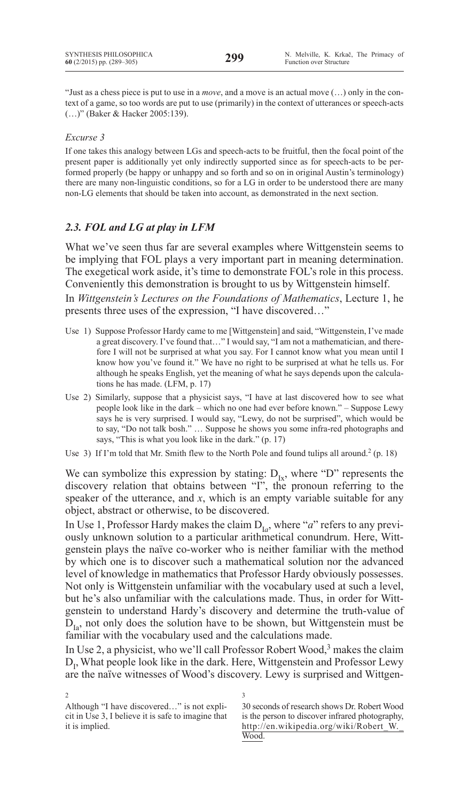"Just as a chess piece is put to use in a *move*, and a move is an actual move (…) only in the context of a game, so too words are put to use (primarily) in the context of utterances or speech-acts (…)" (Baker & Hacker 2005:139).

## *Excurse 3*

If one takes this analogy between LGs and speech-acts to be fruitful, then the focal point of the present paper is additionally yet only indirectly supported since as for speech-acts to be performed properly (be happy or unhappy and so forth and so on in original Austin's terminology) there are many non-linguistic conditions, so for a LG in order to be understood there are many non-LG elements that should be taken into account, as demonstrated in the next section.

# *2.3. FOL and LG at play in LFM*

What we've seen thus far are several examples where Wittgenstein seems to be implying that FOL plays a very important part in meaning determination. The exegetical work aside, it's time to demonstrate FOL's role in this process. Conveniently this demonstration is brought to us by Wittgenstein himself.

In *Wittgenstein's Lectures on the Foundations of Mathematics*, Lecture 1, he presents three uses of the expression, "I have discovered…"

- Use 1) Suppose Professor Hardy came to me [Wittgenstein] and said, "Wittgenstein, I've made a great discovery. I've found that…" I would say, "I am not a mathematician, and therefore I will not be surprised at what you say. For I cannot know what you mean until I know how you've found it." We have no right to be surprised at what he tells us. For although he speaks English, yet the meaning of what he says depends upon the calculations he has made. (LFM, p. 17)
- Use 2) Similarly, suppose that a physicist says, "I have at last discovered how to see what people look like in the dark – which no one had ever before known." – Suppose Lewy says he is very surprised. I would say, "Lewy, do not be surprised", which would be to say, "Do not talk bosh." … Suppose he shows you some infra-red photographs and says, "This is what you look like in the dark." (p. 17)
- Use 3) If I'm told that Mr. Smith flew to the North Pole and found tulips all around.<sup>2</sup> (p. 18)

We can symbolize this expression by stating:  $D_{Ix}$ , where "D" represents the discovery relation that obtains between "I", the pronoun referring to the speaker of the utterance, and *x*, which is an empty variable suitable for any object, abstract or otherwise, to be discovered.

In Use 1, Professor Hardy makes the claim  $D_{Ia}$ , where "*a*" refers to any previously unknown solution to a particular arithmetical conundrum. Here, Wittgenstein plays the naïve co-worker who is neither familiar with the method by which one is to discover such a mathematical solution nor the advanced level of knowledge in mathematics that Professor Hardy obviously possesses. Not only is Wittgenstein unfamiliar with the vocabulary used at such a level, but he's also unfamiliar with the calculations made. Thus, in order for Wittgenstein to understand Hardy's discovery and determine the truth-value of  $D_{I_{2}}$ , not only does the solution have to be shown, but Wittgenstein must be familiar with the vocabulary used and the calculations made.

In Use 2, a physicist, who we'll call Professor Robert Wood,<sup>3</sup> makes the claim  $D_I$ , What people look like in the dark. Here, Wittgenstein and Professor Lewy are the naïve witnesses of Wood's discovery. Lewy is surprised and Wittgen-

3

2

Although "I have discovered…" is not explicit in Use 3, I believe it is safe to imagine that it is implied.

<sup>30</sup> seconds of research shows Dr. Robert Wood is the person to discover infrared photography, http://en.wikipedia.org/wiki/Robert\_W.\_ Wood.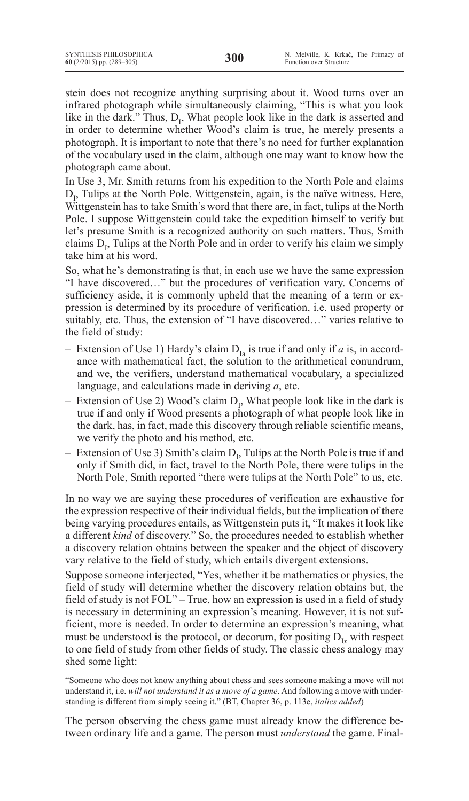stein does not recognize anything surprising about it. Wood turns over an infrared photograph while simultaneously claiming, "This is what you look like in the dark." Thus,  $D_1$ , What people look like in the dark is asserted and in order to determine whether Wood's claim is true, he merely presents a photograph. It is important to note that there's no need for further explanation of the vocabulary used in the claim, although one may want to know how the photograph came about.

In Use 3, Mr. Smith returns from his expedition to the North Pole and claims  $D_{1}$ , Tulips at the North Pole. Wittgenstein, again, is the naïve witness. Here, Wittgenstein has to take Smith's word that there are, in fact, tulips at the North Pole. I suppose Wittgenstein could take the expedition himself to verify but let's presume Smith is a recognized authority on such matters. Thus, Smith claims  $D_1$ , Tulips at the North Pole and in order to verify his claim we simply take him at his word.

So, what he's demonstrating is that, in each use we have the same expression "I have discovered…" but the procedures of verification vary. Concerns of sufficiency aside, it is commonly upheld that the meaning of a term or expression is determined by its procedure of verification, i.e. used property or suitably, etc. Thus, the extension of "I have discovered…" varies relative to the field of study:

- Extension of Use 1) Hardy's claim  $D_{Ia}$  is true if and only if *a* is, in accordance with mathematical fact, the solution to the arithmetical conundrum, and we, the verifiers, understand mathematical vocabulary, a specialized language, and calculations made in deriving *a*, etc.
- Extension of Use 2) Wood's claim  $D_1$ , What people look like in the dark is true if and only if Wood presents a photograph of what people look like in the dark, has, in fact, made this discovery through reliable scientific means, we verify the photo and his method, etc.
- Extension of Use 3) Smith's claim  $D_1$ , Tulips at the North Pole is true if and only if Smith did, in fact, travel to the North Pole, there were tulips in the North Pole, Smith reported "there were tulips at the North Pole" to us, etc.

In no way we are saying these procedures of verification are exhaustive for the expression respective of their individual fields, but the implication of there being varying procedures entails, as Wittgenstein puts it, "It makes it look like a different *kind* of discovery." So, the procedures needed to establish whether a discovery relation obtains between the speaker and the object of discovery vary relative to the field of study, which entails divergent extensions.

Suppose someone interjected, "Yes, whether it be mathematics or physics, the field of study will determine whether the discovery relation obtains but, the field of study is not FOL" – True, how an expression is used in a field of study is necessary in determining an expression's meaning. However, it is not sufficient, more is needed. In order to determine an expression's meaning, what must be understood is the protocol, or decorum, for positing  $D_i$  with respect to one field of study from other fields of study. The classic chess analogy may shed some light:

The person observing the chess game must already know the difference between ordinary life and a game. The person must *understand* the game. Final-

<sup>&</sup>quot;Someone who does not know anything about chess and sees someone making a move will not understand it, i.e. *will not understand it as a move of a game*. And following a move with understanding is different from simply seeing it." (BT, Chapter 36, p. 113e, *italics added*)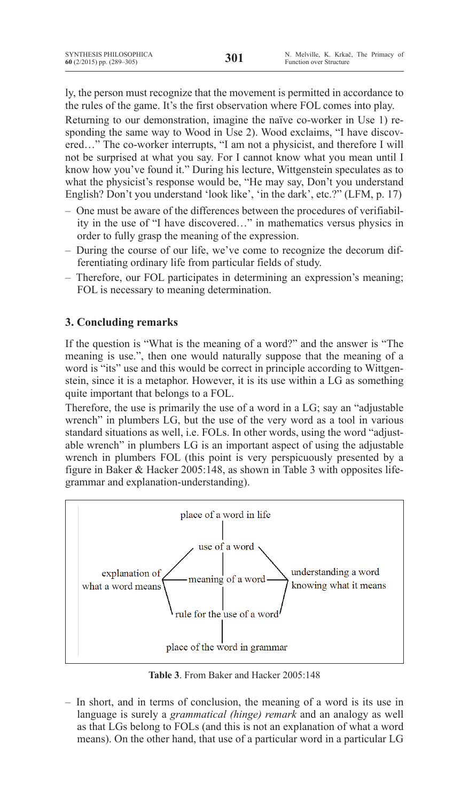ly, the person must recognize that the movement is permitted in accordance to the rules of the game. It's the first observation where FOL comes into play.

Returning to our demonstration, imagine the naïve co-worker in Use 1) responding the same way to Wood in Use 2). Wood exclaims, "I have discovered…" The co-worker interrupts, "I am not a physicist, and therefore I will not be surprised at what you say. For I cannot know what you mean until I know how you've found it." During his lecture, Wittgenstein speculates as to what the physicist's response would be, "He may say, Don't you understand English? Don't you understand 'look like', 'in the dark', etc.?" (LFM, p. 17)

- One must be aware of the differences between the procedures of verifiability in the use of "I have discovered…" in mathematics versus physics in order to fully grasp the meaning of the expression.
- During the course of our life, we've come to recognize the decorum differentiating ordinary life from particular fields of study.
- Therefore, our FOL participates in determining an expression's meaning; FOL is necessary to meaning determination.

# **3. Concluding remarks**

If the question is "What is the meaning of a word?" and the answer is "The meaning is use.", then one would naturally suppose that the meaning of a word is "its" use and this would be correct in principle according to Wittgenstein, since it is a metaphor. However, it is its use within a LG as something quite important that belongs to a FOL.

Therefore, the use is primarily the use of a word in a LG; say an "adjustable wrench" in plumbers LG, but the use of the very word as a tool in various standard situations as well, i.e. FOLs. In other words, using the word "adjustable wrench" in plumbers LG is an important aspect of using the adjustable wrench in plumbers FOL (this point is very perspicuously presented by a figure in Baker & Hacker 2005:148, as shown in Table 3 with opposites lifegrammar and explanation-understanding).



**Table 3**. From Baker and Hacker 2005:148

– In short, and in terms of conclusion, the meaning of a word is its use in language is surely a *grammatical (hinge) remark* and an analogy as well as that LGs belong to FOLs (and this is not an explanation of what a word means). On the other hand, that use of a particular word in a particular LG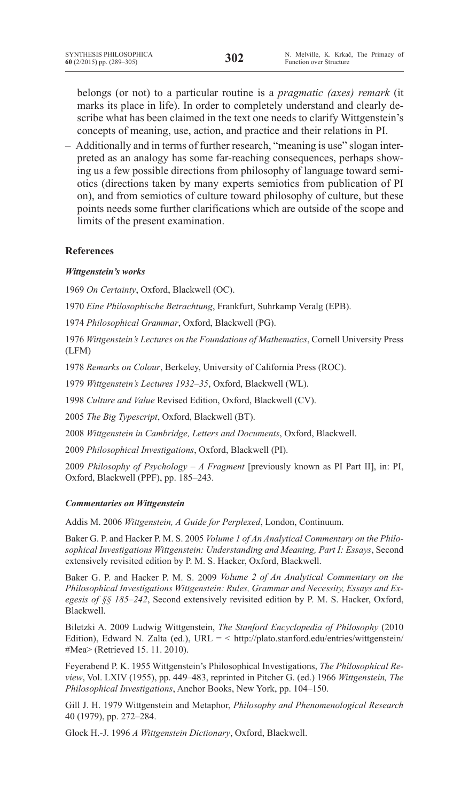belongs (or not) to a particular routine is a *pragmatic (axes) remark* (it marks its place in life). In order to completely understand and clearly describe what has been claimed in the text one needs to clarify Wittgenstein's concepts of meaning, use, action, and practice and their relations in PI.

– Additionally and in terms of further research, "meaning is use" slogan interpreted as an analogy has some far-reaching consequences, perhaps showing us a few possible directions from philosophy of language toward semiotics (directions taken by many experts semiotics from publication of PI on), and from semiotics of culture toward philosophy of culture, but these points needs some further clarifications which are outside of the scope and limits of the present examination.

## **References**

### *Wittgenstein's works*

1969 *On Certainty*, Oxford, Blackwell (OC).

1970 *Eine Philosophische Betrachtung*, Frankfurt, Suhrkamp Veralg (EPB).

1974 *Philosophical Grammar*, Oxford, Blackwell (PG).

1976 *Wittgenstein's Lectures on the Foundations of Mathematics*, Cornell University Press (LFM)

1978 *Remarks on Colour*, Berkeley, University of California Press (ROC).

1979 *Wittgenstein's Lectures 1932–35*, Oxford, Blackwell (WL).

1998 *Culture and Value* Revised Edition, Oxford, Blackwell (CV).

2005 *The Big Typescript*, Oxford, Blackwell (BT).

2008 *Wittgenstein in Cambridge, Letters and Documents*, Oxford, Blackwell.

2009 *Philosophical Investigations*, Oxford, Blackwell (PI).

2009 *Philosophy of Psychology – A Fragment* [previously known as PI Part II], in: PI, Oxford, Blackwell (PPF), pp. 185–243.

### *Commentaries on Wittgenstein*

Addis M. 2006 *Wittgenstein, A Guide for Perplexed*, London, Continuum.

Baker G. P. and Hacker P. M. S. 2005 *Volume 1 of An Analytical Commentary on the Philosophical Investigations Wittgenstein: Understanding and Meaning, Part I: Essays*, Second extensively revisited edition by P. M. S. Hacker, Oxford, Blackwell.

Baker G. P. and Hacker P. M. S. 2009 *Volume 2 of An Analytical Commentary on the Philosophical Investigations Wittgenstein: Rules, Grammar and Necessity, Essays and Exegesis of §§ 185–242*, Second extensively revisited edition by P. M. S. Hacker, Oxford, Blackwell.

Biletzki A. 2009 Ludwig Wittgenstein, *The Stanford Encyclopedia of Philosophy* (2010 Edition), Edward N. Zalta (ed.), URL =  $\langle$  http://plato.stanford.edu/entries/wittgenstein/ #Mea> (Retrieved 15. 11. 2010).

Feyerabend P. K. 1955 Wittgenstein's Philosophical Investigations, *The Philosophical Review*, Vol. LXIV (1955), pp. 449–483, reprinted in Pitcher G. (ed.) 1966 *Wittgenstein, The Philosophical Investigations*, Anchor Books, New York, pp. 104–150.

Gill J. H. 1979 Wittgenstein and Metaphor, *Philosophy and Phenomenological Research*  40 (1979), pp. 272–284.

Glock H.-J. 1996 *A Wittgenstein Dictionary*, Oxford, Blackwell.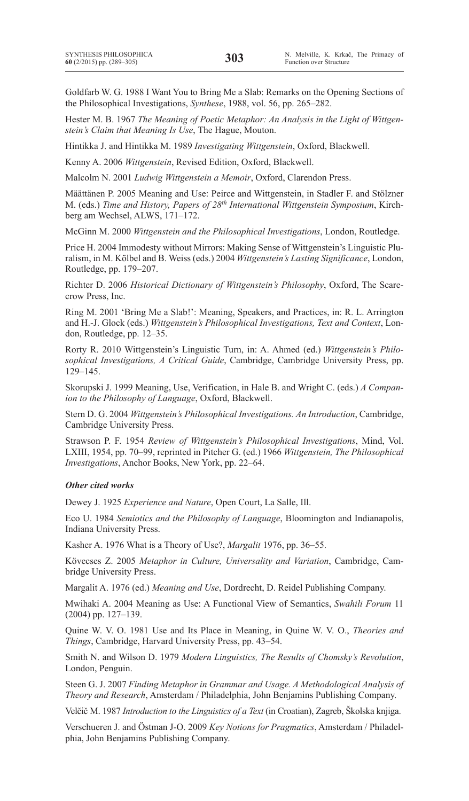Goldfarb W. G. 1988 I Want You to Bring Me a Slab: Remarks on the Opening Sections of the Philosophical Investigations, *Synthese*, 1988, vol. 56, pp. 265–282.

Hester M. B. 1967 *The Meaning of Poetic Metaphor: An Analysis in the Light of Wittgenstein's Claim that Meaning Is Use*, The Hague, Mouton.

Hintikka J. and Hintikka M. 1989 *Investigating Wittgenstein*, Oxford, Blackwell.

Kenny A. 2006 *Wittgenstein*, Revised Edition, Oxford, Blackwell.

Malcolm N. 2001 *Ludwig Wittgenstein a Memoir*, Oxford, Clarendon Press.

Määttänen P. 2005 Meaning and Use: Peirce and Wittgenstein, in Stadler F. and Stölzner M. (eds.) *Time and History, Papers of 28th International Wittgenstein Symposium*, Kirchberg am Wechsel, ALWS, 171–172.

McGinn M. 2000 *Wittgenstein and the Philosophical Investigations*, London, Routledge.

Price H. 2004 Immodesty without Mirrors: Making Sense of Wittgenstein's Linguistic Pluralism, in M. Kölbel and B. Weiss (eds.) 2004 *Wittgenstein's Lasting Significance*, London, Routledge, pp. 179–207.

Richter D. 2006 *Historical Dictionary of Wittgenstein's Philosophy*, Oxford, The Scarecrow Press, Inc.

Ring M. 2001 'Bring Me a Slab!': Meaning, Speakers, and Practices, in: R. L. Arrington and H.-J. Glock (eds.) *Wittgenstein's Philosophical Investigations, Text and Context*, London, Routledge, pp. 12–35.

Rorty R. 2010 Wittgenstein's Linguistic Turn, in: A. Ahmed (ed.) *Wittgenstein's Philosophical Investigations, A Critical Guide*, Cambridge, Cambridge University Press, pp. 129–145.

Skorupski J. 1999 Meaning, Use, Verification, in Hale B. and Wright C. (eds.) *A Companion to the Philosophy of Language*, Oxford, Blackwell.

Stern D. G. 2004 *Wittgenstein's Philosophical Investigations. An Introduction*, Cambridge, Cambridge University Press.

Strawson P. F. 1954 *Review of Wittgenstein's Philosophical Investigations*, Mind, Vol. LXIII, 1954, pp. 70–99, reprinted in Pitcher G. (ed.) 1966 *Wittgenstein, The Philosophical Investigations*, Anchor Books, New York, pp. 22–64.

### *Other cited works*

Dewey J. 1925 *Experience and Nature*, Open Court, La Salle, Ill.

Eco U. 1984 *Semiotics and the Philosophy of Language*, Bloomington and Indianapolis, Indiana University Press.

Kasher A. 1976 What is a Theory of Use?, *Margalit* 1976, pp. 36–55.

Kövecses Z. 2005 *Metaphor in Culture, Universality and Variation*, Cambridge, Cambridge University Press.

Margalit A. 1976 (ed.) *Meaning and Use*, Dordrecht, D. Reidel Publishing Company.

Mwihaki A. 2004 Meaning as Use: A Functional View of Semantics, *Swahili Forum* 11 (2004) pp. 127–139.

Quine W. V. O. 1981 Use and Its Place in Meaning, in Quine W. V. O., *Theories and Things*, Cambridge, Harvard University Press, pp. 43–54.

Smith N. and Wilson D. 1979 *Modern Linguistics, The Results of Chomsky's Revolution*, London, Penguin.

Steen G. J. 2007 *Finding Metaphor in Grammar and Usage. A Methodological Analysis of Theory and Research*, Amsterdam / Philadelphia, John Benjamins Publishing Company.

Velčič M. 1987 *Introduction to the Linguistics of a Text* (in Croatian), Zagreb, Školska knjiga.

Verschueren J. and Östman J-O. 2009 *Key Notions for Pragmatics*, Amsterdam / Philadelphia, John Benjamins Publishing Company.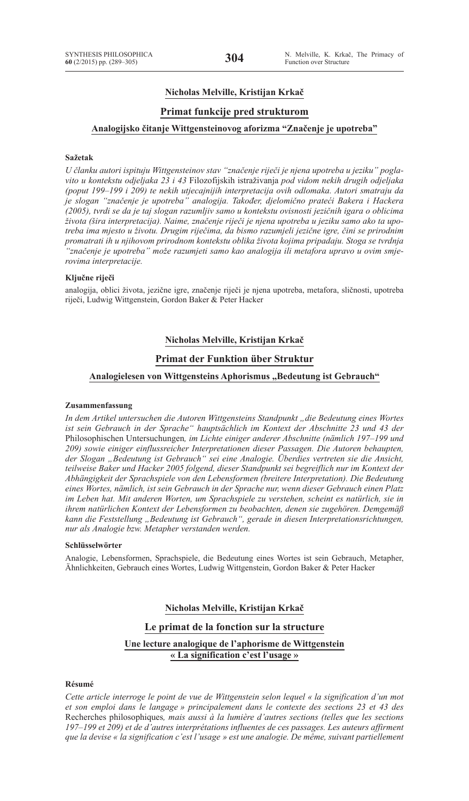## **Nicholas Melville, Kristijan Krkač**

## **Primat funkcije pred strukturom**

### **Analogijsko čitanje Wittgensteinovog aforizma "Značenje je upotreba"**

### **Sažetak**

*U članku autori ispituju Wittgensteinov stav "značenje riječi je njena upotreba u jeziku" poglavito u kontekstu odjeljaka 23 i 43* Filozofijskih istraživanja *pod vidom nekih drugih odjeljaka (poput 199–199 i 209) te nekih utjecajnijih interpretacija ovih odlomaka. Autori smatraju da je slogan "značenje je upotreba" analogija. Također, djelomično prateći Bakera i Hackera (2005), tvrdi se da je taj slogan razumljiv samo u kontekstu ovisnosti jezičnih igara o oblicima života (šira interpretacija). Naime, značenje riječi je njena upotreba u jeziku samo ako ta upotreba ima mjesto u životu. Drugim riječima, da bismo razumjeli jezične igre, čini se prirodnim promatrati ih u njihovom prirodnom kontekstu oblika života kojima pripadaju. Stoga se tvrdnja "značenje je upotreba" može razumjeti samo kao analogija ili metafora upravo u ovim smjerovima interpretacije.*

#### **Ključne riječi**

analogija, oblici života, jezične igre, značenje riječi je njena upotreba, metafora, sličnosti, upotreba riječi, Ludwig Wittgenstein, Gordon Baker & Peter Hacker

## **Nicholas Melville, Kristijan Krkač**

#### **Primat der Funktion über Struktur**

#### Analogielesen von Wittgensteins Aphorismus "Bedeutung ist Gebrauch"

#### **Zusammenfassung**

*In dem Artikel untersuchen die Autoren Wittgensteins Standpunkt "die Bedeutung eines Wortes ist sein Gebrauch in der Sprache" hauptsächlich im Kontext der Abschnitte 23 und 43 der*  Philosophischen Untersuchungen*, im Lichte einiger anderer Abschnitte (nämlich 197–199 und 209) sowie einiger einflussreicher Interpretationen dieser Passagen. Die Autoren behaupten, der Slogan "Bedeutung ist Gebrauch" sei eine Analogie. Überdies vertreten sie die Ansicht, teilweise Baker und Hacker 2005 folgend, dieser Standpunkt sei begreiflich nur im Kontext der Abhängigkeit der Sprachspiele von den Lebensformen (breitere Interpretation). Die Bedeutung eines Wortes, nämlich, ist sein Gebrauch in der Sprache nur, wenn dieser Gebrauch einen Platz im Leben hat. Mit anderen Worten, um Sprachspiele zu verstehen, scheint es natürlich, sie in ihrem natürlichen Kontext der Lebensformen zu beobachten, denen sie zugehören. Demgemäß kann die Feststellung "Bedeutung ist Gebrauch", gerade in diesen Interpretationsrichtungen, nur als Analogie bzw. Metapher verstanden werden.*

#### **Schlüsselwörter**

Analogie, Lebensformen, Sprachspiele, die Bedeutung eines Wortes ist sein Gebrauch, Metapher, Ähnlichkeiten, Gebrauch eines Wortes, Ludwig Wittgenstein, Gordon Baker & Peter Hacker

#### **Nicholas Melville, Kristijan Krkač**

### **Le primat de la fonction sur la structure**

**Une lecture analogique de l'aphorisme de Wittgenstein « La signification c'est l'usage »**

#### **Résumé**

*Cette article interroge le point de vue de Wittgenstein selon lequel « la signification d'un mot et son emploi dans le langage » principalement dans le contexte des sections 23 et 43 des*  Recherches philosophiques*, mais aussi à la lumière d'autres sections (telles que les sections 197–199 et 209) et de d'autres interprétations influentes de ces passages. Les auteurs affirment que la devise « la signification c'est l'usage » est une analogie. De même, suivant partiellement*